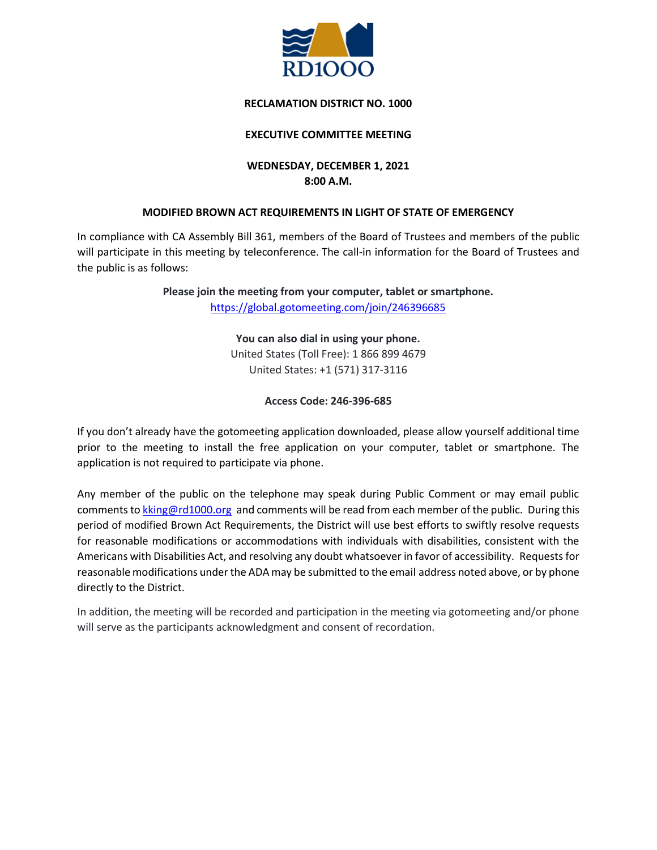

# **RECLAMATION DISTRICT NO. 1000**

# **EXECUTIVE COMMITTEE MEETING**

# **WEDNESDAY, DECEMBER 1, 2021 8:00 A.M.**

# **MODIFIED BROWN ACT REQUIREMENTS IN LIGHT OF STATE OF EMERGENCY**

In compliance with CA Assembly Bill 361, members of the Board of Trustees and members of the public will participate in this meeting by teleconference. The call-in information for the Board of Trustees and the public is as follows:

> **Please join the meeting from your computer, tablet or smartphone.** <https://global.gotomeeting.com/join/246396685>

> > **You can also dial in using your phone.** United States (Toll Free): 1 866 899 4679 United States: +1 (571) 317-3116

# **Access Code: 246-396-685**

If you don't already have the gotomeeting application downloaded, please allow yourself additional time prior to the meeting to install the free application on your computer, tablet or smartphone. The application is not required to participate via phone.

Any member of the public on the telephone may speak during Public Comment or may email public comments to [kking@rd1000.org](mailto:kking@rd1000.org) and comments will be read from each member of the public. During this period of modified Brown Act Requirements, the District will use best efforts to swiftly resolve requests for reasonable modifications or accommodations with individuals with disabilities, consistent with the Americans with Disabilities Act, and resolving any doubt whatsoever in favor of accessibility. Requests for reasonable modifications under the ADA may be submitted to the email address noted above, or by phone directly to the District.

In addition, the meeting will be recorded and participation in the meeting via gotomeeting and/or phone will serve as the participants acknowledgment and consent of recordation.